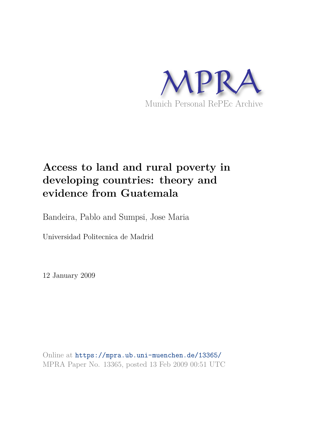

# **Access to land and rural poverty in developing countries: theory and evidence from Guatemala**

Bandeira, Pablo and Sumpsi, Jose Maria

Universidad Politecnica de Madrid

12 January 2009

Online at https://mpra.ub.uni-muenchen.de/13365/ MPRA Paper No. 13365, posted 13 Feb 2009 00:51 UTC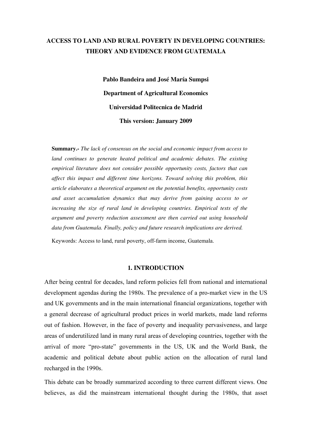# **ACCESS TO LAND AND RURAL POVERTY IN DEVELOPING COUNTRIES: THEORY AND EVIDENCE FROM GUATEMALA**

**Pablo Bandeira and José María Sumpsi Department of Agricultural Economics Universidad Politecnica de Madrid This version: January 2009** 

**Summary.-** *The lack of consensus on the social and economic impact from access to*  land continues to generate heated political and academic debates. The existing *empirical literature does not consider possible opportunity costs, factors that can affect this impact and different time horizons. Toward solving this problem, this article elaborates a theoretical argument on the potential benefits, opportunity costs and asset accumulation dynamics that may derive from gaining access to or increasing the size of rural land in developing countries. Empirical tests of the argument and poverty reduction assessment are then carried out using household data from Guatemala. Finally, policy and future research implications are derived.*

Keywords: Access to land, rural poverty, off-farm income, Guatemala.

#### **1. INTRODUCTION**

After being central for decades, land reform policies fell from national and international development agendas during the 1980s. The prevalence of a pro-market view in the US and UK governments and in the main international financial organizations, together with a general decrease of agricultural product prices in world markets, made land reforms out of fashion. However, in the face of poverty and inequality pervasiveness, and large areas of underutilized land in many rural areas of developing countries, together with the arrival of more "pro-state" governments in the US, UK and the World Bank, the academic and political debate about public action on the allocation of rural land recharged in the 1990s.

This debate can be broadly summarized according to three current different views. One believes, as did the mainstream international thought during the 1980s, that asset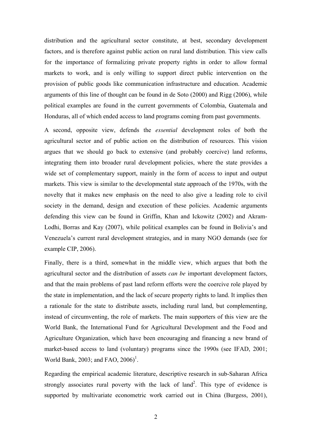distribution and the agricultural sector constitute, at best, secondary development factors, and is therefore against public action on rural land distribution. This view calls for the importance of formalizing private property rights in order to allow formal markets to work, and is only willing to support direct public intervention on the provision of public goods like communication infrastructure and education. Academic arguments of this line of thought can be found in de Soto (2000) and Rigg (2006), while political examples are found in the current governments of Colombia, Guatemala and Honduras, all of which ended access to land programs coming from past governments.

A second, opposite view, defends the *essential* development roles of both the agricultural sector and of public action on the distribution of resources. This vision argues that we should go back to extensive (and probably coercive) land reforms, integrating them into broader rural development policies, where the state provides a wide set of complementary support, mainly in the form of access to input and output markets. This view is similar to the developmental state approach of the 1970s, with the novelty that it makes new emphasis on the need to also give a leading role to civil society in the demand, design and execution of these policies. Academic arguments defending this view can be found in Griffin, Khan and Ickowitz (2002) and Akram-Lodhi, Borras and Kay (2007), while political examples can be found in Bolivia's and Venezuela's current rural development strategies, and in many NGO demands (see for example CIP, 2006).

Finally, there is a third, somewhat in the middle view, which argues that both the agricultural sector and the distribution of assets *can be* important development factors, and that the main problems of past land reform efforts were the coercive role played by the state in implementation, and the lack of secure property rights to land. It implies then a rationale for the state to distribute assets, including rural land, but complementing, instead of circumventing, the role of markets. The main supporters of this view are the World Bank, the International Fund for Agricultural Development and the Food and Agriculture Organization, which have been encouraging and financing a new brand of market-based access to land (voluntary) programs since the 1990s (see IFAD, 2001; World Bank, 2003; and FAO,  $2006$ <sup>1</sup>.

Regarding the empirical academic literature, descriptive research in sub-Saharan Africa strongly associates rural poverty with the lack of land<sup>2</sup>. This type of evidence is supported by multivariate econometric work carried out in China (Burgess, 2001),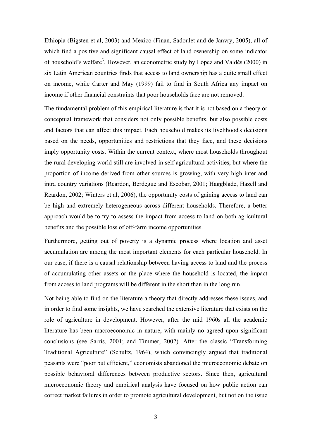Ethiopia (Bigsten et al, 2003) and Mexico (Finan, Sadoulet and de Janvry, 2005), all of which find a positive and significant causal effect of land ownership on some indicator of household's welfare<sup>3</sup>. However, an econometric study by López and Valdés (2000) in six Latin American countries finds that access to land ownership has a quite small effect on income, while Carter and May (1999) fail to find in South Africa any impact on income if other financial constraints that poor households face are not removed.

The fundamental problem of this empirical literature is that it is not based on a theory or conceptual framework that considers not only possible benefits, but also possible costs and factors that can affect this impact. Each household makes its livelihood's decisions based on the needs, opportunities and restrictions that they face, and these decisions imply opportunity costs. Within the current context, where most households throughout the rural developing world still are involved in self agricultural activities, but where the proportion of income derived from other sources is growing, with very high inter and intra country variations (Reardon, Berdegue and Escobar, 2001; Haggblade, Hazell and Reardon, 2002; Winters et al, 2006), the opportunity costs of gaining access to land can be high and extremely heterogeneous across different households. Therefore, a better approach would be to try to assess the impact from access to land on both agricultural benefits and the possible loss of off-farm income opportunities.

Furthermore, getting out of poverty is a dynamic process where location and asset accumulation are among the most important elements for each particular household. In our case, if there is a causal relationship between having access to land and the process of accumulating other assets or the place where the household is located, the impact from access to land programs will be different in the short than in the long run.

Not being able to find on the literature a theory that directly addresses these issues, and in order to find some insights, we have searched the extensive literature that exists on the role of agriculture in development. However, after the mid 1960s all the academic literature has been macroeconomic in nature, with mainly no agreed upon significant conclusions (see Sarris, 2001; and Timmer, 2002). After the classic "Transforming Traditional Agriculture" (Schultz, 1964), which convincingly argued that traditional peasants were "poor but efficient," economists abandoned the microeconomic debate on possible behavioral differences between productive sectors. Since then, agricultural microeconomic theory and empirical analysis have focused on how public action can correct market failures in order to promote agricultural development, but not on the issue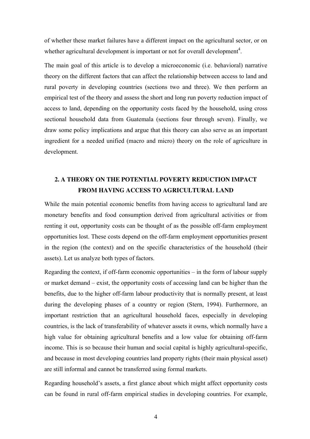of whether these market failures have a different impact on the agricultural sector, or on whether agricultural development is important or not for overall development<sup>4</sup>.

The main goal of this article is to develop a microeconomic (i.e. behavioral) narrative theory on the different factors that can affect the relationship between access to land and rural poverty in developing countries (sections two and three). We then perform an empirical test of the theory and assess the short and long run poverty reduction impact of access to land, depending on the opportunity costs faced by the household, using cross sectional household data from Guatemala (sections four through seven). Finally, we draw some policy implications and argue that this theory can also serve as an important ingredient for a needed unified (macro and micro) theory on the role of agriculture in development.

# **2. A THEORY ON THE POTENTIAL POVERTY REDUCTION IMPACT FROM HAVING ACCESS TO AGRICULTURAL LAND**

While the main potential economic benefits from having access to agricultural land are monetary benefits and food consumption derived from agricultural activities or from renting it out, opportunity costs can be thought of as the possible off-farm employment opportunities lost. These costs depend on the off-farm employment opportunities present in the region (the context) and on the specific characteristics of the household (their assets). Let us analyze both types of factors.

Regarding the context, if off-farm economic opportunities – in the form of labour supply or market demand – exist, the opportunity costs of accessing land can be higher than the benefits, due to the higher off-farm labour productivity that is normally present, at least during the developing phases of a country or region (Stern, 1994). Furthermore, an important restriction that an agricultural household faces, especially in developing countries, is the lack of transferability of whatever assets it owns, which normally have a high value for obtaining agricultural benefits and a low value for obtaining off-farm income. This is so because their human and social capital is highly agricultural-specific, and because in most developing countries land property rights (their main physical asset) are still informal and cannot be transferred using formal markets.

Regarding household's assets, a first glance about which might affect opportunity costs can be found in rural off-farm empirical studies in developing countries. For example,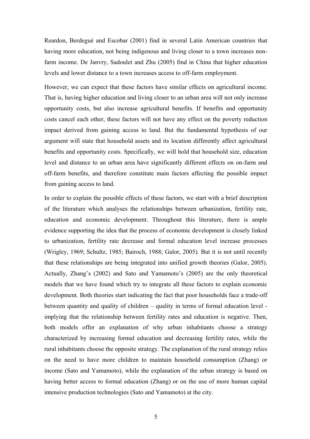Reardon, Berdegué and Escobar (2001) find in several Latin American countries that having more education, not being indigenous and living closer to a town increases nonfarm income. De Janvry, Sadoulet and Zhu (2005) find in China that higher education levels and lower distance to a town increases access to off-farm employment.

However, we can expect that these factors have similar effects on agricultural income. That is, having higher education and living closer to an urban area will not only increase opportunity costs, but also increase agricultural benefits. If benefits and opportunity costs cancel each other, these factors will not have any effect on the poverty reduction impact derived from gaining access to land. But the fundamental hypothesis of our argument will state that household assets and its location differently affect agricultural benefits and opportunity costs. Specifically, we will hold that household size, education level and distance to an urban area have significantly different effects on on-farm and off-farm benefits, and therefore constitute main factors affecting the possible impact from gaining access to land.

In order to explain the possible effects of these factors, we start with a brief description of the literature which analyses the relationships between urbanization, fertility rate, education and economic development. Throughout this literature, there is ample evidence supporting the idea that the process of economic development is closely linked to urbanization, fertility rate decrease and formal education level increase processes (Wrigley, 1969; Schultz, 1985; Bairoch, 1988; Galor, 2005). But it is not until recently that these relationships are being integrated into unified growth theories (Galor, 2005). Actually, Zhang's (2002) and Sato and Yamamoto's (2005) are the only theoretical models that we have found which try to integrate all these factors to explain economic development. Both theories start indicating the fact that poor households face a trade-off between quantity and quality of children – quality in terms of formal education level implying that the relationship between fertility rates and education is negative. Then, both models offer an explanation of why urban inhabitants choose a strategy characterized by increasing formal education and decreasing fertility rates, while the rural inhabitants choose the opposite strategy. The explanation of the rural strategy relies on the need to have more children to maintain household consumption (Zhang) or income (Sato and Yamamoto), while the explanation of the urban strategy is based on having better access to formal education (Zhang) or on the use of more human capital intensive production technologies (Sato and Yamamoto) at the city.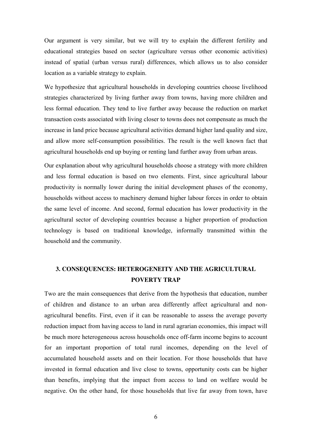Our argument is very similar, but we will try to explain the different fertility and educational strategies based on sector (agriculture versus other economic activities) instead of spatial (urban versus rural) differences, which allows us to also consider location as a variable strategy to explain.

We hypothesize that agricultural households in developing countries choose livelihood strategies characterized by living further away from towns, having more children and less formal education. They tend to live further away because the reduction on market transaction costs associated with living closer to towns does not compensate as much the increase in land price because agricultural activities demand higher land quality and size, and allow more self-consumption possibilities. The result is the well known fact that agricultural households end up buying or renting land further away from urban areas.

Our explanation about why agricultural households choose a strategy with more children and less formal education is based on two elements. First, since agricultural labour productivity is normally lower during the initial development phases of the economy, households without access to machinery demand higher labour forces in order to obtain the same level of income. And second, formal education has lower productivity in the agricultural sector of developing countries because a higher proportion of production technology is based on traditional knowledge, informally transmitted within the household and the community.

# **3. CONSEQUENCES: HETEROGENEITY AND THE AGRICULTURAL POVERTY TRAP**

Two are the main consequences that derive from the hypothesis that education, number of children and distance to an urban area differently affect agricultural and nonagricultural benefits. First, even if it can be reasonable to assess the average poverty reduction impact from having access to land in rural agrarian economies, this impact will be much more heterogeneous across households once off-farm income begins to account for an important proportion of total rural incomes, depending on the level of accumulated household assets and on their location. For those households that have invested in formal education and live close to towns, opportunity costs can be higher than benefits, implying that the impact from access to land on welfare would be negative. On the other hand, for those households that live far away from town, have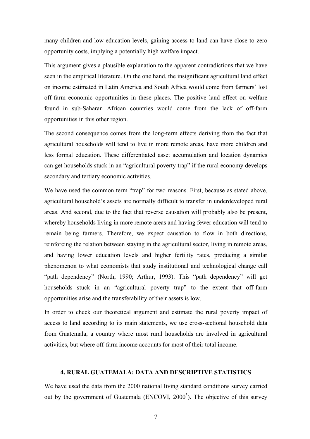many children and low education levels, gaining access to land can have close to zero opportunity costs, implying a potentially high welfare impact.

This argument gives a plausible explanation to the apparent contradictions that we have seen in the empirical literature. On the one hand, the insignificant agricultural land effect on income estimated in Latin America and South Africa would come from farmers' lost off-farm economic opportunities in these places. The positive land effect on welfare found in sub-Saharan African countries would come from the lack of off-farm opportunities in this other region.

The second consequence comes from the long-term effects deriving from the fact that agricultural households will tend to live in more remote areas, have more children and less formal education. These differentiated asset accumulation and location dynamics can get households stuck in an "agricultural poverty trap" if the rural economy develops secondary and tertiary economic activities.

We have used the common term "trap" for two reasons. First, because as stated above, agricultural household's assets are normally difficult to transfer in underdeveloped rural areas. And second, due to the fact that reverse causation will probably also be present, whereby households living in more remote areas and having fewer education will tend to remain being farmers. Therefore, we expect causation to flow in both directions, reinforcing the relation between staying in the agricultural sector, living in remote areas, and having lower education levels and higher fertility rates, producing a similar phenomenon to what economists that study institutional and technological change call "path dependency" (North, 1990; Arthur, 1993). This "path dependency" will get households stuck in an "agricultural poverty trap" to the extent that off-farm opportunities arise and the transferability of their assets is low.

In order to check our theoretical argument and estimate the rural poverty impact of access to land according to its main statements, we use cross-sectional household data from Guatemala, a country where most rural households are involved in agricultural activities, but where off-farm income accounts for most of their total income.

#### **4. RURAL GUATEMALA: DATA AND DESCRIPTIVE STATISTICS**

We have used the data from the 2000 national living standard conditions survey carried out by the government of Guatemala (ENCOVI,  $2000^5$ ). The objective of this survey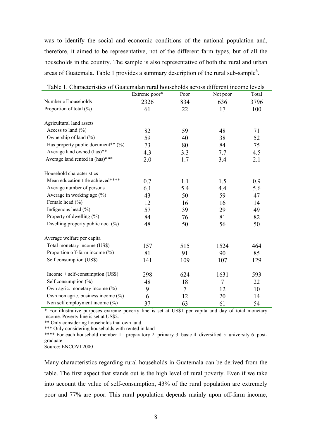was to identify the social and economic conditions of the national population and, therefore, it aimed to be representative, not of the different farm types, but of all the households in the country. The sample is also representative of both the rural and urban areas of Guatemala. Table 1 provides a summary description of the rural sub-sample<sup>6</sup>.

|                                                  | Extreme poor* | Poor | Not poor       | Total |
|--------------------------------------------------|---------------|------|----------------|-------|
| Number of households                             | 2326          | 834  | 636            | 3796  |
| Proportion of total (%)                          | 61            | 22   | 17             | 100   |
|                                                  |               |      |                |       |
| Agricultural land assets                         |               |      |                |       |
| Access to land $(\% )$                           | 82            | 59   | 48             | 71    |
| Ownership of land (%)                            | 59            | 40   | 38             | 52    |
| Has property public document <sup>**</sup> $(%)$ | 73            | 80   | 84             | 75    |
| Average land owned (has)**                       | 4.3           | 3.3  | 7.7            | 4.5   |
| Average land rented in (has)***                  | 2.0           | 1.7  | 3.4            | 2.1   |
|                                                  |               |      |                |       |
| Household characteristics                        |               |      |                |       |
| Mean education title achieved****                | 0.7           | 1.1  | 1.5            | 0.9   |
| Average number of persons                        | 6.1           | 5.4  | 4.4            | 5.6   |
| Average in working age $(\% )$                   | 43            | 50   | 59             | 47    |
| Female head (%)                                  | 12            | 16   | 16             | 14    |
| Indigenous head $(\% )$                          | 57            | 39   | 29             | 49    |
| Property of dwelling (%)                         | 84            | 76   | 81             | 82    |
| Dwelling property public doc. $(\%)$             | 48            | 50   | 56             | 50    |
| Average welfare per capita                       |               |      |                |       |
| Total monetary income (US\$)                     | 157           | 515  | 1524           | 464   |
| Proportion off-farm income (%)                   | 81            | 91   | 90             | 85    |
| Self consumption (US\$)                          | 141           | 109  | 107            | 129   |
| $Income + self-consumption (USS)$                |               |      |                |       |
|                                                  | 298           | 624  | 1631           | 593   |
| Self consumption $(\% )$                         | 48            | 18   | $\overline{7}$ | 22    |
| Own agric. monetary income (%)                   | 9             | 7    | 12             | 10    |
| Own non agric. business income (%)               | 6             | 12   | 20             | 14    |
| Non self employment income (%)                   | 37            | 63   | 61             | 54    |

Table 1. Characteristics of Guatemalan rural households across different income levels

\* For illustrative purposes extreme poverty line is set at US\$1 per capita and day of total monetary income. Poverty line is set at US\$2.

\*\* Only considering households that own land.

\*\*\* Only considering households with rented in land

\*\*\*\* For each household member 1= preparatory 2=primary 3=basic 4=diversified 5=university 6=postgraduate

Source: ENCOVI 2000

Many characteristics regarding rural households in Guatemala can be derived from the table. The first aspect that stands out is the high level of rural poverty. Even if we take into account the value of self-consumption, 43% of the rural population are extremely poor and 77% are poor. This rural population depends mainly upon off-farm income,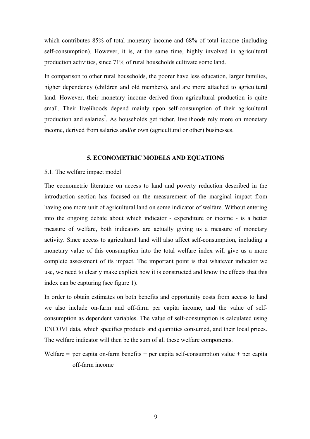which contributes 85% of total monetary income and 68% of total income (including self-consumption). However, it is, at the same time, highly involved in agricultural production activities, since 71% of rural households cultivate some land.

In comparison to other rural households, the poorer have less education, larger families, higher dependency (children and old members), and are more attached to agricultural land. However, their monetary income derived from agricultural production is quite small. Their livelihoods depend mainly upon self-consumption of their agricultural production and salaries<sup>7</sup>. As households get richer, livelihoods rely more on monetary income, derived from salaries and/or own (agricultural or other) businesses.

#### **5. ECONOMETRIC MODELS AND EQUATIONS**

## 5.1. The welfare impact model

The econometric literature on access to land and poverty reduction described in the introduction section has focused on the measurement of the marginal impact from having one more unit of agricultural land on some indicator of welfare. Without entering into the ongoing debate about which indicator - expenditure or income - is a better measure of welfare, both indicators are actually giving us a measure of monetary activity. Since access to agricultural land will also affect self-consumption, including a monetary value of this consumption into the total welfare index will give us a more complete assessment of its impact. The important point is that whatever indicator we use, we need to clearly make explicit how it is constructed and know the effects that this index can be capturing (see figure 1).

In order to obtain estimates on both benefits and opportunity costs from access to land we also include on-farm and off-farm per capita income, and the value of selfconsumption as dependent variables. The value of self-consumption is calculated using ENCOVI data, which specifies products and quantities consumed, and their local prices. The welfare indicator will then be the sum of all these welfare components.

Welfare  $=$  per capita on-farm benefits  $+$  per capita self-consumption value  $+$  per capita off-farm income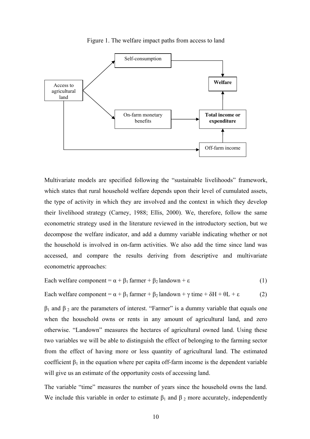



Multivariate models are specified following the "sustainable livelihoods" framework, which states that rural household welfare depends upon their level of cumulated assets, the type of activity in which they are involved and the context in which they develop their livelihood strategy (Carney, 1988; Ellis, 2000). We, therefore, follow the same econometric strategy used in the literature reviewed in the introductory section, but we decompose the welfare indicator, and add a dummy variable indicating whether or not the household is involved in on-farm activities. We also add the time since land was accessed, and compare the results deriving from descriptive and multivariate econometric approaches:

Each welfare component = 
$$
\alpha + \beta_1
$$
 farmer +  $\beta_2$  landown +  $\varepsilon$  (1)

Each welfare component =  $\alpha + \beta_1$  farmer +  $\beta_2$  landown +  $\gamma$  time +  $\delta$ H +  $\theta$ L +  $\epsilon$  (2)

 $β<sub>1</sub>$  and  $β<sub>2</sub>$  are the parameters of interest. "Farmer" is a dummy variable that equals one when the household owns or rents in any amount of agricultural land, and zero otherwise. "Landown" measures the hectares of agricultural owned land. Using these two variables we will be able to distinguish the effect of belonging to the farming sector from the effect of having more or less quantity of agricultural land. The estimated coefficient  $\beta_1$  in the equation where per capita off-farm income is the dependent variable will give us an estimate of the opportunity costs of accessing land.

The variable "time" measures the number of years since the household owns the land. We include this variable in order to estimate  $\beta_1$  and  $\beta_2$  more accurately, independently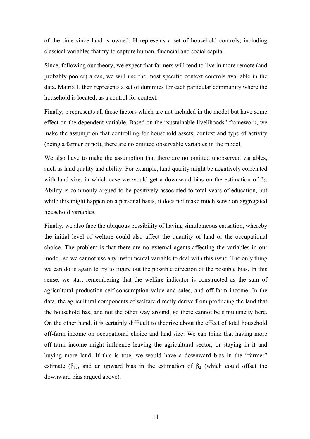of the time since land is owned. H represents a set of household controls, including classical variables that try to capture human, financial and social capital.

Since, following our theory, we expect that farmers will tend to live in more remote (and probably poorer) areas, we will use the most specific context controls available in the data. Matrix L then represents a set of dummies for each particular community where the household is located, as a control for context.

Finally, ε represents all those factors which are not included in the model but have some effect on the dependent variable. Based on the "sustainable livelihoods" framework, we make the assumption that controlling for household assets, context and type of activity (being a farmer or not), there are no omitted observable variables in the model.

We also have to make the assumption that there are no omitted unobserved variables, such as land quality and ability. For example, land quality might be negatively correlated with land size, in which case we would get a downward bias on the estimation of  $\beta_2$ . Ability is commonly argued to be positively associated to total years of education, but while this might happen on a personal basis, it does not make much sense on aggregated household variables.

Finally, we also face the ubiquous possibility of having simultaneous causation, whereby the initial level of welfare could also affect the quantity of land or the occupational choice. The problem is that there are no external agents affecting the variables in our model, so we cannot use any instrumental variable to deal with this issue. The only thing we can do is again to try to figure out the possible direction of the possible bias. In this sense, we start remembering that the welfare indicator is constructed as the sum of agricultural production self-consumption value and sales, and off-farm income. In the data, the agricultural components of welfare directly derive from producing the land that the household has, and not the other way around, so there cannot be simultaneity here. On the other hand, it is certainly difficult to theorize about the effect of total household off-farm income on occupational choice and land size. We can think that having more off-farm income might influence leaving the agricultural sector, or staying in it and buying more land. If this is true, we would have a downward bias in the "farmer" estimate ( $\beta_1$ ), and an upward bias in the estimation of  $\beta_2$  (which could offset the downward bias argued above).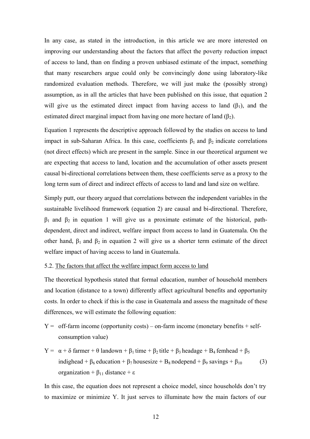In any case, as stated in the introduction, in this article we are more interested on improving our understanding about the factors that affect the poverty reduction impact of access to land, than on finding a proven unbiased estimate of the impact, something that many researchers argue could only be convincingly done using laboratory-like randomized evaluation methods. Therefore, we will just make the (possibly strong) assumption, as in all the articles that have been published on this issue, that equation 2 will give us the estimated direct impact from having access to land  $(\beta_1)$ , and the estimated direct marginal impact from having one more hectare of land  $(\beta_2)$ .

Equation 1 represents the descriptive approach followed by the studies on access to land impact in sub-Saharan Africa. In this case, coefficients  $\beta_1$  and  $\beta_2$  indicate correlations (not direct effects) which are present in the sample. Since in our theoretical argument we are expecting that access to land, location and the accumulation of other assets present causal bi-directional correlations between them, these coefficients serve as a proxy to the long term sum of direct and indirect effects of access to land and land size on welfare.

Simply putt, our theory argued that correlations between the independent variables in the sustainable livelihood framework (equation 2) are causal and bi-directional. Therefore,  $β_1$  and  $β_2$  in equation 1 will give us a proximate estimate of the historical, pathdependent, direct and indirect, welfare impact from access to land in Guatemala. On the other hand,  $\beta_1$  and  $\beta_2$  in equation 2 will give us a shorter term estimate of the direct welfare impact of having access to land in Guatemala.

# 5.2. The factors that affect the welfare impact form access to land

The theoretical hypothesis stated that formal education, number of household members and location (distance to a town) differently affect agricultural benefits and opportunity costs. In order to check if this is the case in Guatemala and assess the magnitude of these differences, we will estimate the following equation:

- $Y =$  off-farm income (opportunity costs) on-farm income (monetary benefits + selfconsumption value)
- Y =  $\alpha + \delta$  farmer +  $\theta$  landown +  $\beta_1$  time +  $\beta_2$  title +  $\beta_3$  headage +  $B_4$  femhead +  $\beta_5$ indighead +  $\beta_6$  education +  $\beta_7$  housesize + B<sub>8</sub> nodepend +  $\beta_9$  savings +  $\beta_{10}$  (3) organization +  $β_{11}$  distance + ε

In this case, the equation does not represent a choice model, since households don't try to maximize or minimize Y. It just serves to illuminate how the main factors of our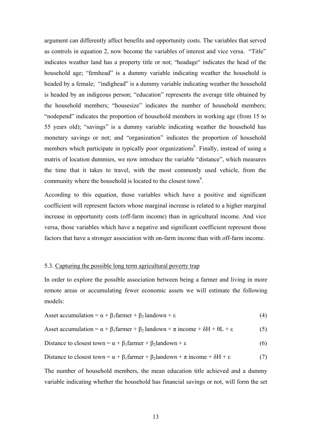argument can differently affect benefits and opportunity costs. The variables that served as controls in equation 2, now become the variables of interest and vice versa. "Title" indicates weather land has a property title or not; "headage" indicates the head of the household age; "femhead" is a dummy variable indicating weather the household is headed by a female; "indighead" is a dummy variable indicating weather the household is headed by an indigeous person; "education" represents the average title obtained by the household members; "housesize" indicates the number of household members; "nodepend" indicates the proportion of household members in working age (from 15 to 55 years old); "savings" is a dummy variable indicating weather the household has monetary savings or not; and "organization" indicates the proportion of household members which participate in typically poor organizations<sup>8</sup>. Finally, instead of using a matrix of location dummies, we now introduce the variable "distance", which measures the time that it takes to travel, with the most commonly used vehicle, from the community where the household is located to the closest town<sup>9</sup>.

According to this equation, those variables which have a positive and significant coefficient will represent factors whose marginal increase is related to a higher marginal increase in opportunity costs (off-farm income) than in agricultural income. And vice versa, those variables which have a negative and significant coefficient represent those factors that have a stronger association with on-farm income than with off-farm income.

## 5.3. Capturing the possible long term agricultural poverty trap

In order to explore the possible association between being a farmer and living in more remote areas or accumulating fewer economic assets we will estimate the following models:

$$
A \text{sset accumulation} = \alpha + \beta_1 \text{farmer} + \beta_2 \text{landown} + \varepsilon \tag{4}
$$

$$
\: \text{asset accumulation} = \alpha + \beta_1 \text{ farmer} + \beta_2 \text{ landown} + \pi \text{ income} + \delta H + \theta L + \epsilon \tag{5}
$$

Distance to closest town = 
$$
\alpha + \beta_1
$$
 farmer +  $\beta_2$ landown +  $\varepsilon$  (6)

Distance to closest town = 
$$
\alpha + \beta_1
$$
 farmer +  $\beta_2$ landown +  $\pi$  income +  $\delta H$  +  $\epsilon$  (7)

The number of household members, the mean education title achieved and a dummy variable indicating whether the household has financial savings or not, will form the set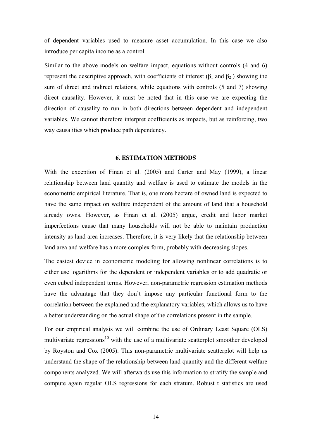of dependent variables used to measure asset accumulation. In this case we also introduce per capita income as a control.

Similar to the above models on welfare impact, equations without controls (4 and 6) represent the descriptive approach, with coefficients of interest (β<sub>1</sub> and β<sub>2</sub>) showing the sum of direct and indirect relations, while equations with controls (5 and 7) showing direct causality. However, it must be noted that in this case we are expecting the direction of causality to run in both directions between dependent and independent variables. We cannot therefore interpret coefficients as impacts, but as reinforcing, two way causalities which produce path dependency.

# **6. ESTIMATION METHODS**

With the exception of Finan et al. (2005) and Carter and May (1999), a linear relationship between land quantity and welfare is used to estimate the models in the econometric empirical literature. That is, one more hectare of owned land is expected to have the same impact on welfare independent of the amount of land that a household already owns. However, as Finan et al. (2005) argue, credit and labor market imperfections cause that many households will not be able to maintain production intensity as land area increases. Therefore, it is very likely that the relationship between land area and welfare has a more complex form, probably with decreasing slopes.

The easiest device in econometric modeling for allowing nonlinear correlations is to either use logarithms for the dependent or independent variables or to add quadratic or even cubed independent terms. However, non-parametric regression estimation methods have the advantage that they don't impose any particular functional form to the correlation between the explained and the explanatory variables, which allows us to have a better understanding on the actual shape of the correlations present in the sample.

For our empirical analysis we will combine the use of Ordinary Least Square (OLS) multivariate regressions<sup>10</sup> with the use of a multivariate scatterplot smoother developed by Royston and Cox (2005). This non-parametric multivariate scatterplot will help us understand the shape of the relationship between land quantity and the different welfare components analyzed. We will afterwards use this information to stratify the sample and compute again regular OLS regressions for each stratum. Robust t statistics are used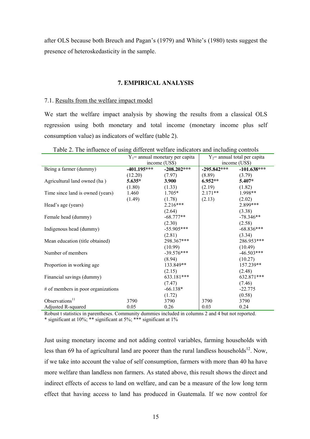after OLS because both Breuch and Pagan's (1979) and White's (1980) tests suggest the presence of heteroskedasticity in the sample.

# **7. EMPIRICAL ANALYSIS**

## 7.1. Results from the welfare impact model

We start the welfare impact analysis by showing the results from a classical OLS regression using both monetary and total income (monetary income plus self consumption value) as indicators of welfare (table 2).

|                                    |               | $Y_1$ = annual monetary per capita | $Y_2$ = annual total per capita |               |  |
|------------------------------------|---------------|------------------------------------|---------------------------------|---------------|--|
|                                    |               | income (US\$)                      | income (US\$)                   |               |  |
| Being a farmer (dummy)             | $-401.195***$ | $-208.202***$                      | $-295.842***$                   | $-101.638***$ |  |
|                                    | (12.20)       | (7.97)                             | (8.89)                          | (3.79)        |  |
| Agricultural land owned (ha)       | $5.635*$      | 3.900                              | $6.952**$                       | 5.407*        |  |
|                                    | (1.80)        | (1.33)                             | (2.19)                          | (1.82)        |  |
| Time since land is owned (years)   | 1.460         | $1.705*$                           | $2.171**$                       | 1.998**       |  |
|                                    | (1.49)        | (1.78)                             | (2.13)                          | (2.02)        |  |
| Head's age (years)                 |               | $2.216***$                         |                                 | 2.899***      |  |
|                                    |               | (2.64)                             |                                 | (3.38)        |  |
| Female head (dummy)                |               | $-68.777**$                        |                                 | $-78.346**$   |  |
|                                    |               | (2.30)                             |                                 | (2.58)        |  |
| Indigenous head (dummy)            |               | $-55.905***$                       |                                 | $-68.836***$  |  |
|                                    |               | (2.81)                             |                                 | (3.34)        |  |
| Mean education (title obtained)    |               | 298.367***                         |                                 | 286.953***    |  |
|                                    |               | (10.99)                            |                                 | (10.49)       |  |
| Number of members                  |               | $-39.576***$                       |                                 | $-46.503***$  |  |
|                                    |               | (8.94)                             |                                 | (10.27)       |  |
| Proportion in working age          |               | 133.849**                          |                                 | 157.239**     |  |
|                                    |               | (2.15)                             |                                 | (2.48)        |  |
| Financial savings (dummy)          |               | 633.181***                         |                                 | 632.871***    |  |
|                                    |               | (7.47)                             |                                 | (7.46)        |  |
| # of members in poor organizations |               | $-66.138*$                         |                                 | $-22.775$     |  |
|                                    |               | (1.72)                             |                                 | (0.58)        |  |
| Observations $11$                  | 3790          | 3790                               | 3790                            | 3790          |  |
| Adjusted R-squared                 | 0.05          | 0.26                               | 0.03                            | 0.24          |  |

Table 2. The influence of using different welfare indicators and including controls

Robust t statistics in parentheses. Community dummies included in columns 2 and 4 but not reported. \* significant at 10%; \*\* significant at 5%; \*\*\* significant at 1%

Just using monetary income and not adding control variables, farming households with less than 69 ha of agricultural land are poorer than the rural landless households<sup>12</sup>. Now, if we take into account the value of self consumption, farmers with more than 40 ha have more welfare than landless non farmers. As stated above, this result shows the direct and indirect effects of access to land on welfare, and can be a measure of the low long term effect that having access to land has produced in Guatemala. If we now control for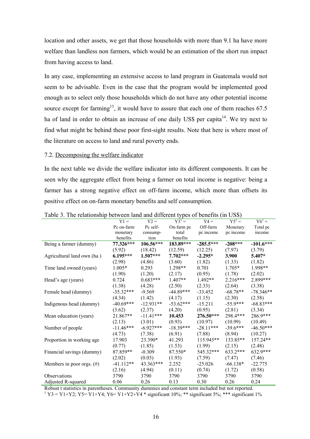location and other assets, we get that those households with more than 9.1 ha have more welfare than landless non farmers, which would be an estimation of the short run impact from having access to land.

In any case, implementing an extensive access to land program in Guatemala would not seem to be advisable. Even in the case that the program would be implemented good enough as to select only those households which do not have any other potential income source except for farming<sup>13</sup>, it would have to assure that each one of them reaches  $67.5$ ha of land in order to obtain an increase of one daily US\$ per capita<sup>14</sup>. We try next to find what might be behind these poor first-sight results. Note that here is where most of the literature on access to land and rural poverty ends.

#### 7.2. Decomposing the welfare indicator

In the next table we divide the welfare indicator into its different components. It can be seen why the aggregate effect from being a farmer on total income is negative: being a farmer has a strong negative effect on off-farm income, which more than offsets its positive effect on on-farm monetary benefits and self consumption.

|                              | $Y1 =$      | $Y2 =$      | $Y3^1 =$    | $Y4 =$      | $Y5^1 =$   | $Y6^1 =$    |
|------------------------------|-------------|-------------|-------------|-------------|------------|-------------|
|                              | Pc on-farm  | Pc self-    | On-farm pc  | Off-farm    | Monetary   | Total pc    |
|                              | monetary    | consump-    | total       | pc income   | pc income  | income      |
|                              | benefits    | tion        | benefits    |             |            |             |
| Being a farmer (dummy)       | 77.326***   | 106.56***   | 183.89***   | $-285.5***$ | $-208***$  | $-101.6***$ |
|                              | (5.92)      | (18.42)     | (12.59)     | (12.25)     | (7.97)     | (3.79)      |
| Agricultural land own (ha)   | $6.195***$  | $1.507***$  | $7.702***$  | $-2.295*$   | 3.900      | 5.407*      |
|                              | (2.98)      | (4.86)      | (3.60)      | (1.82)      | (1.33)     | (1.82)      |
| Time land owned (years)      | $1.005*$    | 0.293       | $1.298**$   | 0.701       | $1.705*$   | 1.998**     |
|                              | (1.90)      | (1.20)      | (2.17)      | (0.95)      | (1.78)     | (2.02)      |
| Head's age (years)           | 0.724       | $0.683***$  | $1.407**$   | $1.492**$   | $2.216***$ | 2.899***    |
|                              | (1.38)      | (4.28)      | (2.50)      | (2.33)      | (2.64)     | (3.38)      |
| Female head (dummy)          | $-35.32***$ | $-9.569$    | $-44.89***$ | $-33.452$   | $-68.78**$ | $-78.346**$ |
|                              | (4.34)      | (1.42)      | (4.17)      | (1.15)      | (2.30)     | (2.58)      |
| Indigenous head (dummy)      | $-40.69***$ | $-12.931**$ | $-53.62***$ | $-15.211$   | $-55.9***$ | $-68.83***$ |
|                              | (3.62)      | (2.37)      | (4.20)      | (0.95)      | (2.81)     | (3.34)      |
| Mean education (years)       | 21.867**    | $-11.41***$ | 10.453      | 276.50***   | 298.4***   | 286.9***    |
|                              | (2.13)      | (3.01)      | (0.93)      | (10.97)     | (10.99)    | (10.49)     |
| Number of people             | $-11.46***$ | $-6.927***$ | $-18.39***$ | $-28.11***$ | $-39.6***$ | $-46.50***$ |
|                              | (4.73)      | (7.38)      | (6.91)      | (7.88)      | (8.94)     | (10.27)     |
| Proportion in working age    | 17.903      | 23.390*     | 41.293      | 115.945**   | 133.85**   | 157.24**    |
|                              | (0.77)      | (1.85)      | (1.53)      | (1.99)      | (2.15)     | (2.48)      |
| Financial savings (dummy)    | 87.859**    | $-0.309$    | 87.550*     | 545.32***   | $633.2***$ | 632.9***    |
|                              | (2.02)      | (0.03)      | (1.93)      | (7.59)      | (7.47)     | (7.46)      |
| Members in poor orgs. $(\#)$ | $-41.112**$ | 43.363***   | 2.252       | $-25.026$   | $-66.138*$ | $-22.775$   |
|                              | (2.16)      | (4.94)      | (0.11)      | (0.74)      | (1.72)     | (0.58)      |
| <b>Observations</b>          | 3790        | 3790        | 3790        | 3790        | 3790       | 3790        |
| Adjusted R-squared           | 0.06        | 0.26        | 0.13        | 0.30        | 0.26       | 0.24        |

Table 3. The relationship between land and different types of benefits (in US\$)

Robust t statistics in parentheses. Community dummies and constant term included but not reported.  $1 Y3 = Y1+Y2$ ;  $Y5 = Y1+Y4$ ;  $Y6 = Y1+Y2+Y4$  \* significant 10%; \*\* significant 5%; \*\*\* significant 1%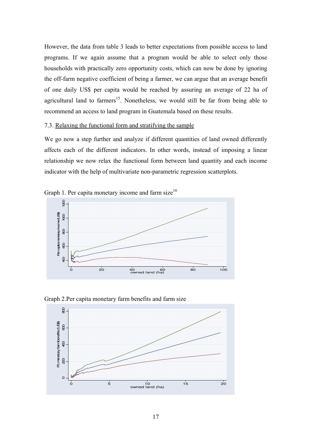However, the data from table 3 leads to better expectations from possible access to land programs. If we again assume that a program would be able to select only those households with practically zero opportunity costs, which can now be done by ignoring the off-farm negative coefficient of being a farmer, we can argue that an average benefit of one daily US\$ per capita would be reached by assuring an average of 22 ha of agricultural land to farmers<sup>15</sup>. Nonetheless, we would still be far from being able to recommend an access to land program in Guatemala based on these results.

# 7.3. Relaxing the functional form and stratifying the sample

We go now a step further and analyze if different quantities of land owned differently affects each of the different indicators. In other words, instead of imposing a linear relationship we now relax the functional form between land quantity and each income indicator with the help of multivariate non-parametric regression scatterplots.





Graph 2.Per capita monetary farm benefits and farm size

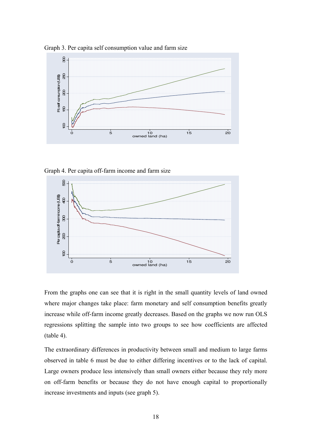

Graph 3. Per capita self consumption value and farm size

Graph 4. Per capita off-farm income and farm size



From the graphs one can see that it is right in the small quantity levels of land owned where major changes take place: farm monetary and self consumption benefits greatly increase while off-farm income greatly decreases. Based on the graphs we now run OLS regressions splitting the sample into two groups to see how coefficients are affected (table 4).

The extraordinary differences in productivity between small and medium to large farms observed in table 6 must be due to either differing incentives or to the lack of capital. Large owners produce less intensively than small owners either because they rely more on off-farm benefits or because they do not have enough capital to proportionally increase investments and inputs (see graph 5).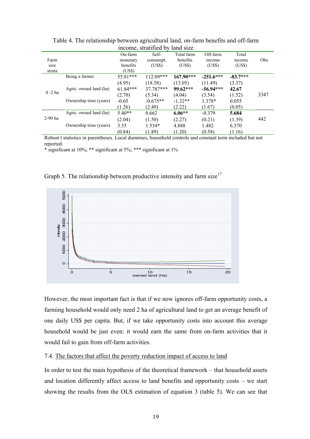| moomo, suannou oy<br>alia sizu |                        |            |             |            |             |            |      |
|--------------------------------|------------------------|------------|-------------|------------|-------------|------------|------|
|                                |                        | On-farm    | Self-       | Total farm | Off-farm    | Total      |      |
| Farm                           |                        | monetary   | consumpt.   | benefits   | income      | income     | Obs. |
| size                           |                        | benefits   | (USS)       | (USS)      | (US\$)      | (US\$)     |      |
| strata                         |                        | (US\$)     |             |            |             |            |      |
|                                | Being a farmer         | 55.81***   | $112.09***$ | 167.90***  | $-251.6***$ | $-83.7***$ |      |
|                                |                        | (4.95)     | (18.58)     | (13.05)    | (11.49)     | (3.37)     |      |
|                                | Agric. owned land (ha) | $61.84***$ | 37.787***   | $99.62***$ | $-56.94***$ | 42.67      |      |
| $0 - 2$ ha                     |                        | (2.70)     | (5.34)      | (4.04)     | (3.54)      | (1.52)     | 3347 |
|                                | Ownership time (years) | $-0.65$    | $-0.675**$  | $-1.32**$  | 1.378*      | 0.055      |      |
|                                |                        | (1.26)     | (2.49)      | (2.22)     | (1.67)      | (0.05)     |      |
|                                | Agric. owned land (ha) | $5.40**$   | 0.662       | $6.06**$   | $-0.379$    | 5.684      |      |
| $2-90$ ha                      |                        | (2.04)     | (1.50)      | (2.27)     | (0.21)      | (1.39)     | 442  |
|                                | Ownership time (years) | 3.35       | $1.534*$    | 4.888      | 1.482       | 6.370      |      |
|                                |                        | (0.84)     | (1.89)      | (1.20)     | (0.58)      | (1.16)     |      |

Table 4. The relationship between agricultural land, on-farm benefits and off-farm income, stratified by land size

Robust t statistics in parentheses. Local dummies, household controls and constant term included but not reported.

 $*$  significant at 10%;  $**$  significant at 5%;  $***$  significant at 1%

Graph 5. The relationship between productive intensity and farm size<sup>17</sup>



However, the most important fact is that if we now ignores off-farm opportunity costs, a farming household would only need 2 ha of agricultural land to get an average benefit of one daily US\$ per capita. But, if we take opportunity costs into account this average household would be just even: it would earn the same from on-farm activities that it would fail to gain from off-farm activities.

# 7.4. The factors that affect the poverty reduction impact of access to land

In order to test the main hypothesis of the theoretical framework – that household assets and location differently affect access to land benefits and opportunity costs – we start showing the results from the OLS estimation of equation 3 (table 5). We can see that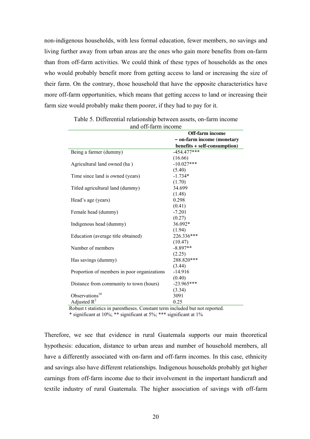non-indigenous households, with less formal education, fewer members, no savings and living further away from urban areas are the ones who gain more benefits from on-farm than from off-farm activities. We could think of these types of households as the ones who would probably benefit more from getting access to land or increasing the size of their farm. On the contrary, those household that have the opposite characteristics have more off-farm opportunities, which means that getting access to land or increasing their farm size would probably make them poorer, if they had to pay for it.

|                                             | <b>Off-farm income</b>       |
|---------------------------------------------|------------------------------|
|                                             | - on-farm income (monetary   |
|                                             | benefits + self-consumption) |
| Being a farmer (dummy)                      | $-454.477***$                |
|                                             | (16.66)                      |
| Agricultural land owned (ha)                | $-10.027***$                 |
|                                             | (5.40)                       |
| Time since land is owned (years)            | $-1.734*$                    |
|                                             | (1.70)                       |
| Titled agricultural land (dummy)            | 34.699                       |
|                                             | (1.48)                       |
| Head's age (years)                          | 0.298                        |
|                                             | (0.41)                       |
| Female head (dummy)                         | $-7.201$                     |
|                                             | (0.27)                       |
| Indigenous head (dummy)                     | 36.092*                      |
|                                             | (1.94)                       |
| Education (average title obtained)          | 226.336***                   |
|                                             | (10.47)                      |
| Number of members                           | $-8.897**$                   |
|                                             | (2.25)                       |
| Has savings (dummy)                         | 288.820***                   |
|                                             | (3.44)                       |
| Proportion of members in poor organizations | $-14.916$                    |
|                                             | (0.40)                       |
| Distance from community to town (hours)     | $-23.965***$                 |
|                                             | (3.34)                       |
| Observations <sup>18</sup>                  | 3091                         |
| Adjusted $R^2$<br>$\sim$                    | 0.25                         |

Table 5. Differential relationship between assets, on-farm income and off-farm income

Robust t statistics in parentheses. Constant term included but not reported.

\* significant at  $10\%$ ; \*\* significant at 5%; \*\*\* significant at  $1\%$ 

Therefore, we see that evidence in rural Guatemala supports our main theoretical hypothesis: education, distance to urban areas and number of household members, all have a differently associated with on-farm and off-farm incomes. In this case, ethnicity and savings also have different relationships. Indigenous households probably get higher earnings from off-farm income due to their involvement in the important handicraft and textile industry of rural Guatemala. The higher association of savings with off-farm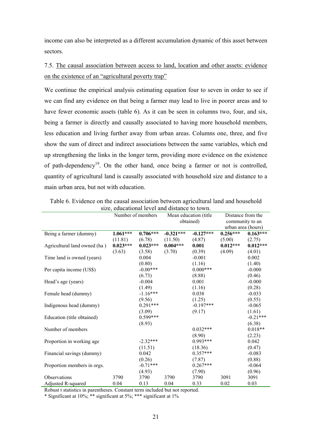income can also be interpreted as a different accumulation dynamic of this asset between sectors.

7.5. The causal association between access to land, location and other assets: evidence on the existence of an "agricultural poverty trap"

We continue the empirical analysis estimating equation four to seven in order to see if we can find any evidence on that being a farmer may lead to live in poorer areas and to have fewer economic assets (table 6). As it can be seen in columns two, four, and six, being a farmer is directly and causally associated to having more household members, less education and living further away from urban areas. Columns one, three, and five show the sum of direct and indirect associations between the same variables, which end up strengthening the links in the longer term, providing more evidence on the existence of path-dependency<sup>19</sup>. On the other hand, once being a farmer or not is controlled, quantity of agricultural land is causally associated with household size and distance to a main urban area, but not with education.

| size, culcational level and distance to town. |                   |            |                        |             |                    |            |  |  |
|-----------------------------------------------|-------------------|------------|------------------------|-------------|--------------------|------------|--|--|
|                                               | Number of members |            | Mean education (title) |             | Distance from the  |            |  |  |
|                                               |                   |            | obtained)              |             | community to an    |            |  |  |
|                                               |                   |            |                        |             | urban area (hours) |            |  |  |
| Being a farmer (dummy)                        | $1.061***$        | $0.706***$ | $-0.321***$            | $-0.127***$ | $0.256***$         | $0.163***$ |  |  |
|                                               | (11.81)           | (6.78)     | (11.50)                | (4.87)      | (5.00)             | (2.75)     |  |  |
| Agricultural land owned (ha)                  | $0.023***$        | $0.023***$ | $0.004***$             | 0.001       | $0.012***$         | $0.012***$ |  |  |
|                                               | (3.63)            | (3.58)     | (3.70)                 | (0.39)      | (4.09)             | (4.01)     |  |  |
| Time land is owned (years)                    |                   | 0.004      |                        | $-0.001$    |                    | 0.002      |  |  |
|                                               |                   | (0.80)     |                        | (1.16)      |                    | (1.40)     |  |  |
| Per capita income (US\$)                      |                   | $-0.00***$ |                        | $0.000***$  |                    | $-0.000$   |  |  |
|                                               |                   | (6.73)     |                        | (8.88)      |                    | (0.46)     |  |  |
| Head's age (years)                            |                   | $-0.004$   |                        | 0.001       |                    | $-0.000$   |  |  |
|                                               |                   | (1.49)     |                        | (1.16)      |                    | (0.28)     |  |  |
| Female head (dummy)                           |                   | $-1.16***$ |                        | 0.038       |                    | $-0.033$   |  |  |
|                                               |                   | (9.56)     |                        | (1.25)      |                    | (0.55)     |  |  |
| Indigenous head (dummy)                       |                   | $0.291***$ |                        | $-0.197***$ |                    | $-0.065$   |  |  |
|                                               |                   | (3.09)     |                        | (9.17)      |                    | (1.61)     |  |  |
| Education (title obtained)                    |                   | $0.599***$ |                        |             |                    | $-0.21***$ |  |  |
|                                               |                   | (8.93)     |                        |             |                    | (6.38)     |  |  |
| Number of members                             |                   |            |                        | $0.032***$  |                    | $0.018**$  |  |  |
|                                               |                   |            |                        | (8.90)      |                    | (2.23)     |  |  |
| Proportion in working age                     |                   | $-2.32***$ |                        | $0.993***$  |                    | 0.042      |  |  |
|                                               |                   | (11.51)    |                        | (18.36)     |                    | (0.47)     |  |  |
| Financial savings (dummy)                     |                   | 0.042      |                        | $0.357***$  |                    | $-0.083$   |  |  |
|                                               |                   | (0.26)     |                        | (7.87)      |                    | (0.88)     |  |  |
| Proportion members in orgs.                   |                   | $-0.71***$ |                        | $0.267***$  |                    | $-0.064$   |  |  |
|                                               |                   | (4.93)     |                        | (7.90)      |                    | (0.96)     |  |  |
| Observations                                  | 3790              | 3790       | 3790                   | 3790        | 3091               | 3091       |  |  |
| Adjusted R-squared                            | 0.04              | 0.13       | 0.04                   | 0.33        | 0.02               | 0.03       |  |  |

Table 6. Evidence on the causal association between agricultural land and household size, educational level and distance to town.

Robust t statistics in parentheses. Constant term included but not reported.

\* Significant at 10%; \*\* significant at 5%; \*\*\* significant at 1%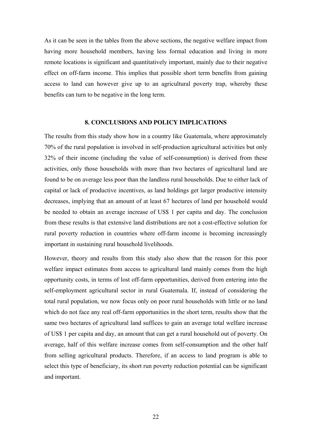As it can be seen in the tables from the above sections, the negative welfare impact from having more household members, having less formal education and living in more remote locations is significant and quantitatively important, mainly due to their negative effect on off-farm income. This implies that possible short term benefits from gaining access to land can however give up to an agricultural poverty trap, whereby these benefits can turn to be negative in the long term.

## **8. CONCLUSIONS AND POLICY IMPLICATIONS**

The results from this study show how in a country like Guatemala, where approximately 70% of the rural population is involved in self-production agricultural activities but only 32% of their income (including the value of self-consumption) is derived from these activities, only those households with more than two hectares of agricultural land are found to be on average less poor than the landless rural households. Due to either lack of capital or lack of productive incentives, as land holdings get larger productive intensity decreases, implying that an amount of at least 67 hectares of land per household would be needed to obtain an average increase of US\$ 1 per capita and day. The conclusion from these results is that extensive land distributions are not a cost-effective solution for rural poverty reduction in countries where off-farm income is becoming increasingly important in sustaining rural household livelihoods.

However, theory and results from this study also show that the reason for this poor welfare impact estimates from access to agricultural land mainly comes from the high opportunity costs, in terms of lost off-farm opportunities, derived from entering into the self-employment agricultural sector in rural Guatemala. If, instead of considering the total rural population, we now focus only on poor rural households with little or no land which do not face any real off-farm opportunities in the short term, results show that the same two hectares of agricultural land suffices to gain an average total welfare increase of US\$ 1 per capita and day, an amount that can get a rural household out of poverty. On average, half of this welfare increase comes from self-consumption and the other half from selling agricultural products. Therefore, if an access to land program is able to select this type of beneficiary, its short run poverty reduction potential can be significant and important.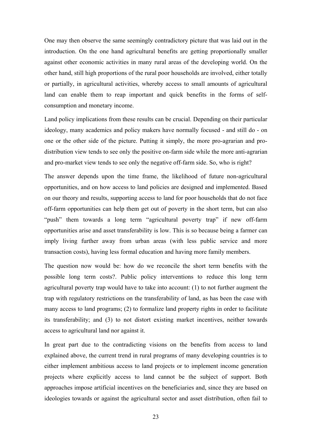One may then observe the same seemingly contradictory picture that was laid out in the introduction. On the one hand agricultural benefits are getting proportionally smaller against other economic activities in many rural areas of the developing world. On the other hand, still high proportions of the rural poor households are involved, either totally or partially, in agricultural activities, whereby access to small amounts of agricultural land can enable them to reap important and quick benefits in the forms of selfconsumption and monetary income.

Land policy implications from these results can be crucial. Depending on their particular ideology, many academics and policy makers have normally focused - and still do - on one or the other side of the picture. Putting it simply, the more pro-agrarian and prodistribution view tends to see only the positive on-farm side while the more anti-agrarian and pro-market view tends to see only the negative off-farm side. So, who is right?

The answer depends upon the time frame, the likelihood of future non-agricultural opportunities, and on how access to land policies are designed and implemented. Based on our theory and results, supporting access to land for poor households that do not face off-farm opportunities can help them get out of poverty in the short term, but can also "push" them towards a long term "agricultural poverty trap" if new off-farm opportunities arise and asset transferability is low. This is so because being a farmer can imply living further away from urban areas (with less public service and more transaction costs), having less formal education and having more family members.

The question now would be: how do we reconcile the short term benefits with the possible long term costs?. Public policy interventions to reduce this long term agricultural poverty trap would have to take into account: (1) to not further augment the trap with regulatory restrictions on the transferability of land, as has been the case with many access to land programs; (2) to formalize land property rights in order to facilitate its transferability; and (3) to not distort existing market incentives, neither towards access to agricultural land nor against it.

In great part due to the contradicting visions on the benefits from access to land explained above, the current trend in rural programs of many developing countries is to either implement ambitious access to land projects or to implement income generation projects where explicitly access to land cannot be the subject of support. Both approaches impose artificial incentives on the beneficiaries and, since they are based on ideologies towards or against the agricultural sector and asset distribution, often fail to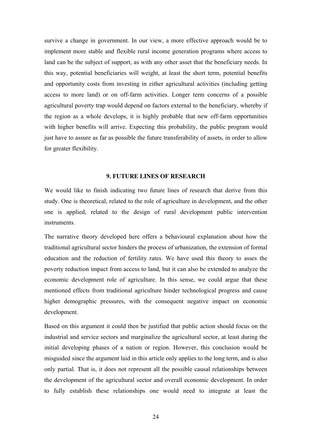survive a change in government. In our view, a more effective approach would be to implement more stable and flexible rural income generation programs where access to land can be the subject of support, as with any other asset that the beneficiary needs. In this way, potential beneficiaries will weight, at least the short term, potential benefits and opportunity costs from investing in either agricultural activities (including getting access to more land) or on off-farm activities. Longer term concerns of a possible agricultural poverty trap would depend on factors external to the beneficiary, whereby if the region as a whole develops, it is highly probable that new off-farm opportunities with higher benefits will arrive. Expecting this probability, the public program would just have to assure as far as possible the future transferability of assets, in order to allow for greater flexibility.

# **9. FUTURE LINES OF RESEARCH**

We would like to finish indicating two future lines of research that derive from this study. One is theoretical, related to the role of agriculture in development, and the other one is applied, related to the design of rural development public intervention instruments.

The narrative theory developed here offers a behavioural explanation about how the traditional agricultural sector hinders the process of urbanization, the extension of formal education and the reduction of fertility rates. We have used this theory to asses the poverty reduction impact from access to land, but it can also be extended to analyze the economic development role of agriculture. In this sense, we could argue that these mentioned effects from traditional agriculture hinder technological progress and cause higher demographic pressures, with the consequent negative impact on economic development.

Based on this argument it could then be justified that public action should focus on the industrial and service sectors and marginalize the agricultural sector, at least during the initial developing phases of a nation or region. However, this conclusion would be misguided since the argument laid in this article only applies to the long term, and is also only partial. That is, it does not represent all the possible causal relationships between the development of the agricultural sector and overall economic development. In order to fully establish these relationships one would need to integrate at least the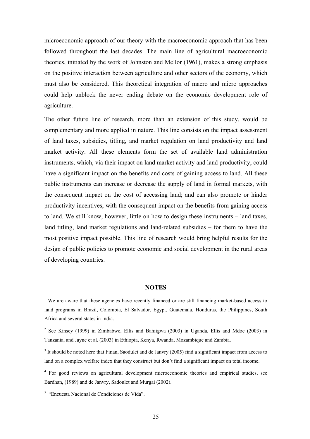microeconomic approach of our theory with the macroeconomic approach that has been followed throughout the last decades. The main line of agricultural macroeconomic theories, initiated by the work of Johnston and Mellor (1961), makes a strong emphasis on the positive interaction between agriculture and other sectors of the economy, which must also be considered. This theoretical integration of macro and micro approaches could help unblock the never ending debate on the economic development role of agriculture.

The other future line of research, more than an extension of this study, would be complementary and more applied in nature. This line consists on the impact assessment of land taxes, subsidies, titling, and market regulation on land productivity and land market activity. All these elements form the set of available land administration instruments, which, via their impact on land market activity and land productivity, could have a significant impact on the benefits and costs of gaining access to land. All these public instruments can increase or decrease the supply of land in formal markets, with the consequent impact on the cost of accessing land; and can also promote or hinder productivity incentives, with the consequent impact on the benefits from gaining access to land. We still know, however, little on how to design these instruments – land taxes, land titling, land market regulations and land-related subsidies – for them to have the most positive impact possible. This line of research would bring helpful results for the design of public policies to promote economic and social development in the rural areas of developing countries.

## **NOTES**

<sup>1</sup> We are aware that these agencies have recently financed or are still financing market-based access to land programs in Brazil, Colombia, El Salvador, Egypt, Guatemala, Honduras, the Philippines, South Africa and several states in India.

<sup>2</sup> See Kinsey (1999) in Zimbabwe, Ellis and Bahiigwa (2003) in Uganda, Ellis and Mdoe (2003) in Tanzania, and Jayne et al. (2003) in Ethiopia, Kenya, Rwanda, Mozambique and Zambia.

<sup>3</sup> It should be noted here that Finan, Saodulet and de Janvry (2005) find a significant impact from access to land on a complex welfare index that they construct but don't find a significant impact on total income.

<sup>4</sup> For good reviews on agricultural development microeconomic theories and empirical studies, see Bardhan, (1989) and de Janvry, Sadoulet and Murgai (2002).

5 "Encuesta Nacional de Condiciones de Vida".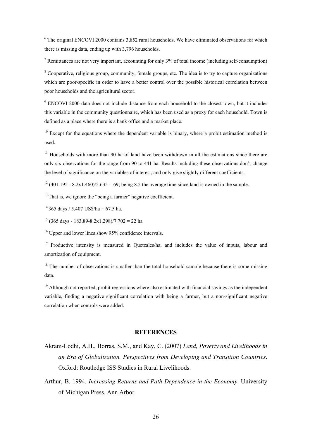$6$  The original ENCOVI 2000 contains 3,852 rural households. We have eliminated observations for which there is missing data, ending up with 3,796 households.

<sup>7</sup> Remittances are not very important, accounting for only  $3\%$  of total income (including self-consumption)

<sup>8</sup> Cooperative, religious group, community, female groups, etc. The idea is to try to capture organizations which are poor-specific in order to have a better control over the possible historical correlation between poor households and the agricultural sector.

<sup>9</sup> ENCOVI 2000 data does not include distance from each household to the closest town, but it includes this variable in the community questionnaire, which has been used as a proxy for each household. Town is defined as a place where there is a bank office and a market place.

 $10$  Except for the equations where the dependent variable is binary, where a probit estimation method is used.

 $11$  Households with more than 90 ha of land have been withdrawn in all the estimations since there are only six observations for the range from 90 to 441 ha. Results including these observations don't change the level of significance on the variables of interest, and only give slightly different coefficients.

<sup>12</sup> (401.195 - 8.2x1.460)/5.635 = 69; being 8.2 the average time since land is owned in the sample.

 $13$  That is, we ignore the "being a farmer" negative coefficient.

 $14365$  days / 5.407 US\$/ha = 67.5 ha.

 $15$  (365 days - 183.89-8.2x1.298)/7.702 = 22 ha

<sup>16</sup> Upper and lower lines show 95% confidence intervals.

<sup>17</sup> Productive intensity is measured in Quetzales/ha, and includes the value of inputs, labour and amortization of equipment.

 $18$  The number of observations is smaller than the total household sample because there is some missing data.

<sup>19</sup> Although not reported, probit regressions where also estimated with financial savings as the independent variable, finding a negative significant correlation with being a farmer, but a non-significant negative correlation when controls were added.

#### **REFERENCES**

- Akram-Lodhi, A.H., Borras, S.M., and Kay, C. (2007) *Land, Poverty and Livelihoods in an Era of Globalization. Perspectives from Developing and Transition Countries*. Oxford: Routledge ISS Studies in Rural Livelihoods.
- Arthur, B. 1994. *Increasing Returns and Path Dependence in the Economy*. University of Michigan Press, Ann Arbor.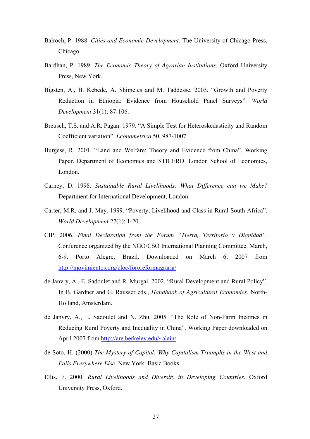- Bairoch, P. 1988. *Cities and Economic Development*. The University of Chicago Press, Chicago.
- Bardhan, P. 1989. *The Economic Theory of Agrarian Institutions*. Oxford University Press, New York.
- Bigsten, A., B. Kebede, A. Shimeles and M. Taddesse. 2003. "Growth and Poverty Reduction in Ethiopia: Evidence from Household Panel Surveys". *World Development* 31(1): 87-106.
- Breusch, T.S. and A.R. Pagan. 1979. "A Simple Test for Heteroskedasticity and Random Coefficient variation". *Econometrica* 50, 987-1007.
- Burgess, R. 2001. "Land and Welfare: Theory and Evidence from China". Working Paper. Department of Economics and STICERD. London School of Economics, London.
- Carney, D. 1998. *Sustainable Rural Livelihoods: What Difference can we Make?* Department for International Development, London.
- Carter, M.R. and J. May. 1999. "Poverty, Livelihood and Class in Rural South Africa". *World Development* 27(1): 1-20.
- CIP. 2006. *Final Declaration from the Forum "Tierra, Territorio y Dignidad".* Conference organized by the NGO/CSO International Planning Committee. March, 6-9. Porto Alegre, Brazil. Downloaded on March 6, 2007 from http://movimientos.org/cloc/fororeformagraria/
- de Janvry, A., E. Sadoulet and R. Murgai. 2002. "Rural Development and Rural Policy". In B. Gardner and G. Rausser eds., *Handbook of Agricultural Economics*. North-Holland, Amsterdam.
- de Janvry, A., E. Sadoulet and N. Zhu. 2005. "The Role of Non-Farm Incomes in Reducing Rural Poverty and Inequality in China". Working Paper downloaded on April 2007 from http://are.berkeley.edu/~alain/
- de Soto, H. (2000) *The Mystery of Capital: Why Capitalism Triumphs in the West and Fails Everywhere Else*. New York: Basic Books.
- Ellis, F. 2000. *Rural Livelihoods and Diversity in Developing Countries*. Oxford University Press, Oxford.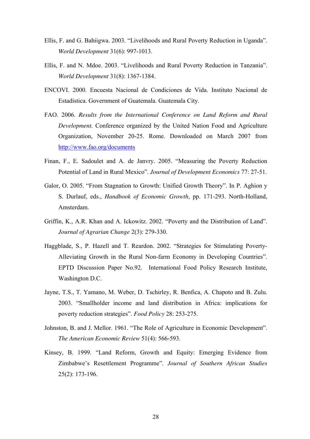- Ellis, F. and G. Bahiigwa. 2003. "Livelihoods and Rural Poverty Reduction in Uganda". *World Development* 31(6): 997-1013.
- Ellis, F. and N. Mdoe. 2003. "Livelihoods and Rural Poverty Reduction in Tanzania". *World Development* 31(8): 1367-1384.
- ENCOVI. 2000. Encuesta Nacional de Condiciones de Vida. Instituto Nacional de Estadística. Government of Guatemala. Guatemala City.
- FAO. 2006. *Results from the International Conference on Land Reform and Rural Development.* Conference organized by the United Nation Food and Agriculture Organization, November 20-25. Rome. Downloaded on March 2007 from http://www.fao.org/documents
- Finan, F., E. Sadoulet and A. de Janvry. 2005. "Measuring the Poverty Reduction Potential of Land in Rural Mexico". *Journal of Development Economics* 77: 27-51.
- Galor, O. 2005. "From Stagnation to Growth: Unified Growth Theory". In P. Aghion y S. Durlauf, eds., *Handbook of Economic Growth*, pp. 171-293. North-Holland, Amsterdam.
- Griffin, K., A.R. Khan and A. Ickowitz. 2002. "Poverty and the Distribution of Land". *Journal of Agrarian Change* 2(3): 279-330.
- Haggblade, S., P. Hazell and T. Reardon. 2002. "Strategies for Stimulating Poverty-Alleviating Growth in the Rural Non-farm Economy in Developing Countries". EPTD Discussion Paper No.92.International Food Policy Research Institute, Washington D.C.
- Jayne, T.S., T. Yamano, M. Weber, D. Tschirley, R. Benfica, A. Chapoto and B. Zulu. 2003. "Smallholder income and land distribution in Africa: implications for poverty reduction strategies". *Food Policy* 28: 253-275.
- Johnston, B. and J. Mellor. 1961. "The Role of Agriculture in Economic Development". *The American Economic Review* 51(4): 566-593.
- Kinsey, B. 1999. "Land Reform, Growth and Equity: Emerging Evidence from Zimbabwe's Resettlement Programme". *Journal of Southern African Studies* 25(2): 173-196.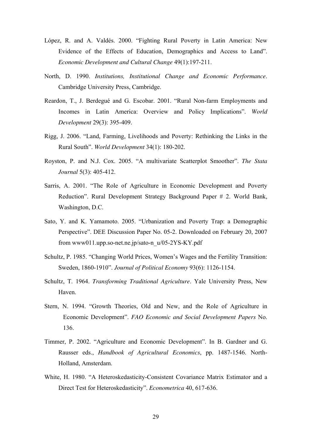- López, R. and A. Valdés. 2000. "Fighting Rural Poverty in Latin America: New Evidence of the Effects of Education, Demographics and Access to Land". *Economic Development and Cultural Change* 49(1):197-211.
- North, D. 1990. *Institutions, Institutional Change and Economic Performance*. Cambridge University Press, Cambridge.
- Reardon, T., J. Berdegué and G. Escobar. 2001. "Rural Non-farm Employments and Incomes in Latin America: Overview and Policy Implications". *World Development* 29(3): 395-409.
- Rigg, J. 2006. "Land, Farming, Livelihoods and Poverty: Rethinking the Links in the Rural South". *World Development* 34(1): 180-202.
- Royston, P. and N.J. Cox. 2005. "A multivariate Scatterplot Smoother". *The Stata Journal* 5(3): 405-412.
- Sarris, A. 2001. "The Role of Agriculture in Economic Development and Poverty Reduction". Rural Development Strategy Background Paper # 2. World Bank, Washington, D.C.
- Sato, Y. and K. Yamamoto. 2005. "Urbanization and Poverty Trap: a Demographic Perspective". DEE Discussion Paper No. 05-2. Downloaded on February 20, 2007 from www011.upp.so-net.ne.jp/sato-n\_u/05-2YS-KY.pdf
- Schultz, P. 1985. "Changing World Prices, Women's Wages and the Fertility Transition: Sweden, 1860-1910". *Journal of Political Economy* 93(6): 1126-1154.
- Schultz, T. 1964. *Transforming Traditional Agriculture*. Yale University Press, New Haven.
- Stern, N. 1994. "Growth Theories, Old and New, and the Role of Agriculture in Economic Development". *FAO Economic and Social Development Papers* No. 136.
- Timmer, P. 2002. "Agriculture and Economic Development". In B. Gardner and G. Rausser eds., *Handbook of Agricultural Economics*, pp. 1487-1546. North-Holland, Amsterdam.
- White, H. 1980. "A Heteroskedasticity-Consistent Covariance Matrix Estimator and a Direct Test for Heteroskedasticity". *Econometrica* 40, 617-636.